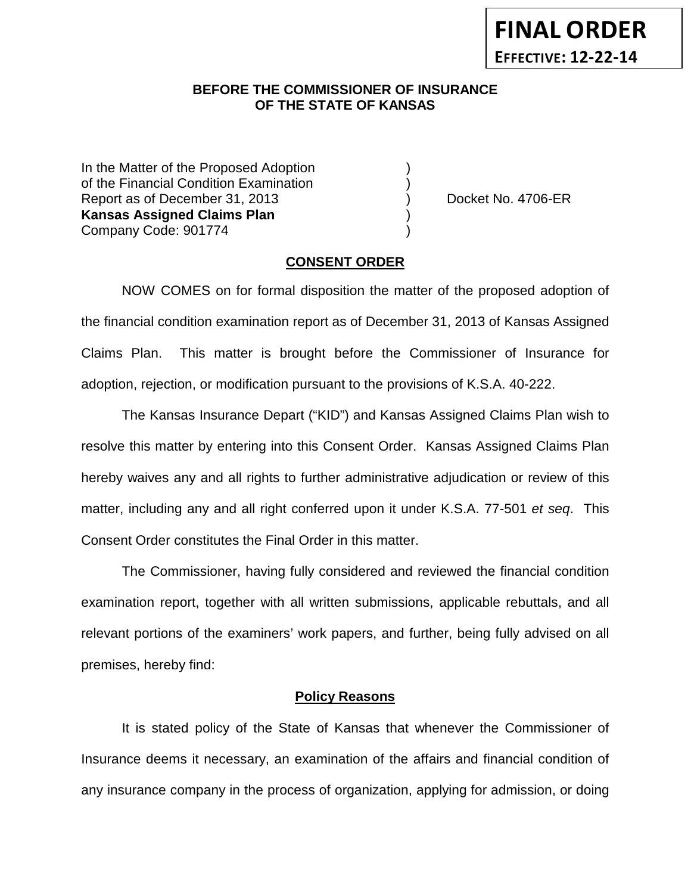### **BEFORE THE COMMISSIONER OF INSURANCE OF THE STATE OF KANSAS**

In the Matter of the Proposed Adoption of the Financial Condition Examination ) Report as of December 31, 2013 (and Contact Contact Contact Contact No. 4706-ER **Kansas Assigned Claims Plan** ) Company Code: 901774 )

### **CONSENT ORDER**

NOW COMES on for formal disposition the matter of the proposed adoption of the financial condition examination report as of December 31, 2013 of Kansas Assigned Claims Plan. This matter is brought before the Commissioner of Insurance for adoption, rejection, or modification pursuant to the provisions of K.S.A. 40-222.

The Kansas Insurance Depart ("KID") and Kansas Assigned Claims Plan wish to resolve this matter by entering into this Consent Order. Kansas Assigned Claims Plan hereby waives any and all rights to further administrative adjudication or review of this matter, including any and all right conferred upon it under K.S.A. 77-501 *et seq*. This Consent Order constitutes the Final Order in this matter.

The Commissioner, having fully considered and reviewed the financial condition examination report, together with all written submissions, applicable rebuttals, and all relevant portions of the examiners' work papers, and further, being fully advised on all premises, hereby find:

#### **Policy Reasons**

It is stated policy of the State of Kansas that whenever the Commissioner of Insurance deems it necessary, an examination of the affairs and financial condition of any insurance company in the process of organization, applying for admission, or doing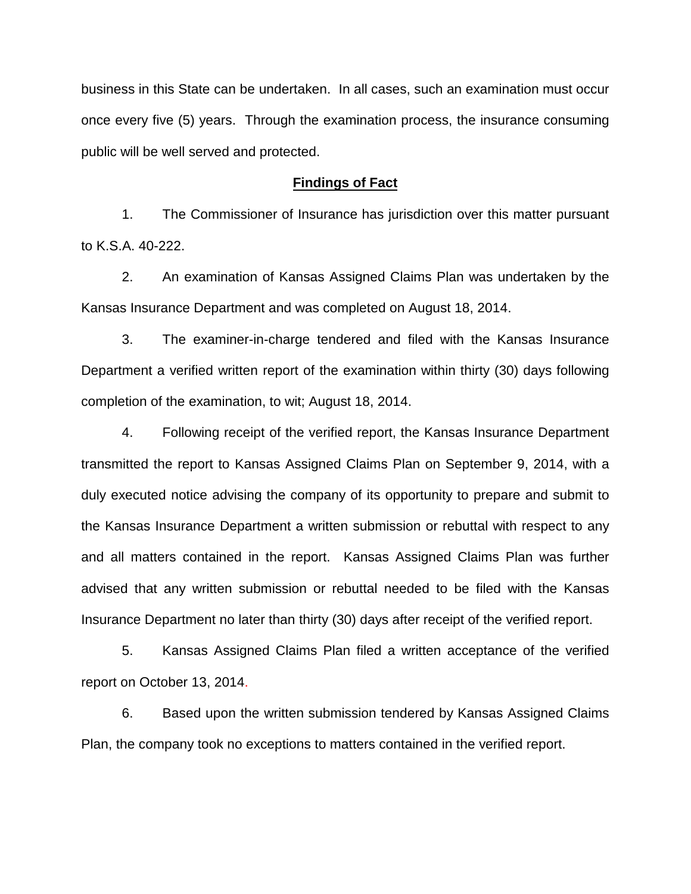business in this State can be undertaken. In all cases, such an examination must occur once every five (5) years. Through the examination process, the insurance consuming public will be well served and protected.

#### **Findings of Fact**

1. The Commissioner of Insurance has jurisdiction over this matter pursuant to K.S.A. 40-222.

2. An examination of Kansas Assigned Claims Plan was undertaken by the Kansas Insurance Department and was completed on August 18, 2014.

3. The examiner-in-charge tendered and filed with the Kansas Insurance Department a verified written report of the examination within thirty (30) days following completion of the examination, to wit; August 18, 2014.

4. Following receipt of the verified report, the Kansas Insurance Department transmitted the report to Kansas Assigned Claims Plan on September 9, 2014, with a duly executed notice advising the company of its opportunity to prepare and submit to the Kansas Insurance Department a written submission or rebuttal with respect to any and all matters contained in the report. Kansas Assigned Claims Plan was further advised that any written submission or rebuttal needed to be filed with the Kansas Insurance Department no later than thirty (30) days after receipt of the verified report.

5. Kansas Assigned Claims Plan filed a written acceptance of the verified report on October 13, 2014.

6. Based upon the written submission tendered by Kansas Assigned Claims Plan, the company took no exceptions to matters contained in the verified report.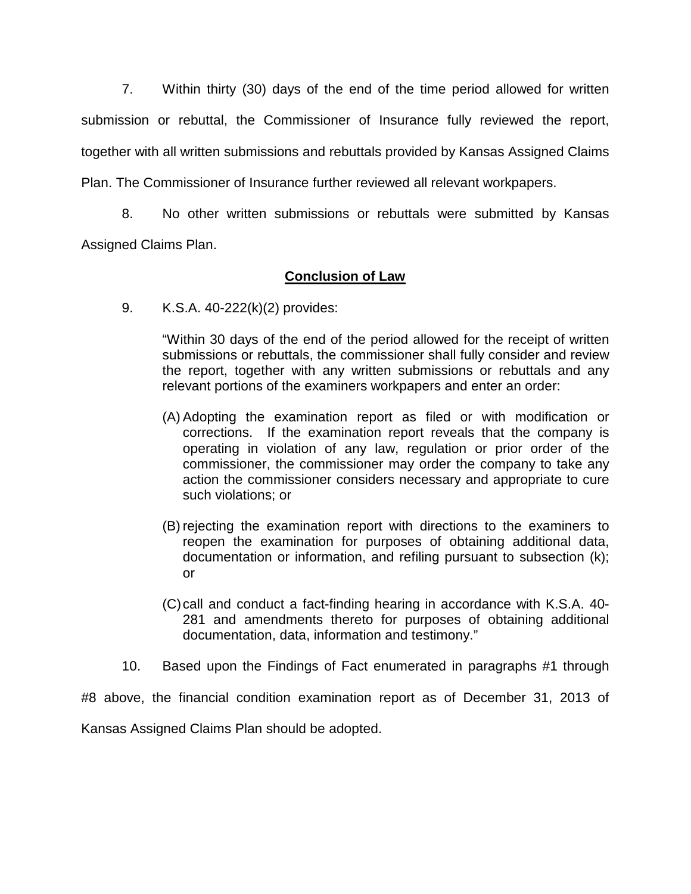7. Within thirty (30) days of the end of the time period allowed for written submission or rebuttal, the Commissioner of Insurance fully reviewed the report, together with all written submissions and rebuttals provided by Kansas Assigned Claims Plan. The Commissioner of Insurance further reviewed all relevant workpapers.

8. No other written submissions or rebuttals were submitted by Kansas Assigned Claims Plan.

# **Conclusion of Law**

9. K.S.A. 40-222(k)(2) provides:

"Within 30 days of the end of the period allowed for the receipt of written submissions or rebuttals, the commissioner shall fully consider and review the report, together with any written submissions or rebuttals and any relevant portions of the examiners workpapers and enter an order:

- (A) Adopting the examination report as filed or with modification or corrections. If the examination report reveals that the company is operating in violation of any law, regulation or prior order of the commissioner, the commissioner may order the company to take any action the commissioner considers necessary and appropriate to cure such violations; or
- (B) rejecting the examination report with directions to the examiners to reopen the examination for purposes of obtaining additional data, documentation or information, and refiling pursuant to subsection (k); or
- (C)call and conduct a fact-finding hearing in accordance with K.S.A. 40- 281 and amendments thereto for purposes of obtaining additional documentation, data, information and testimony."
- 10. Based upon the Findings of Fact enumerated in paragraphs #1 through

#8 above, the financial condition examination report as of December 31, 2013 of Kansas Assigned Claims Plan should be adopted.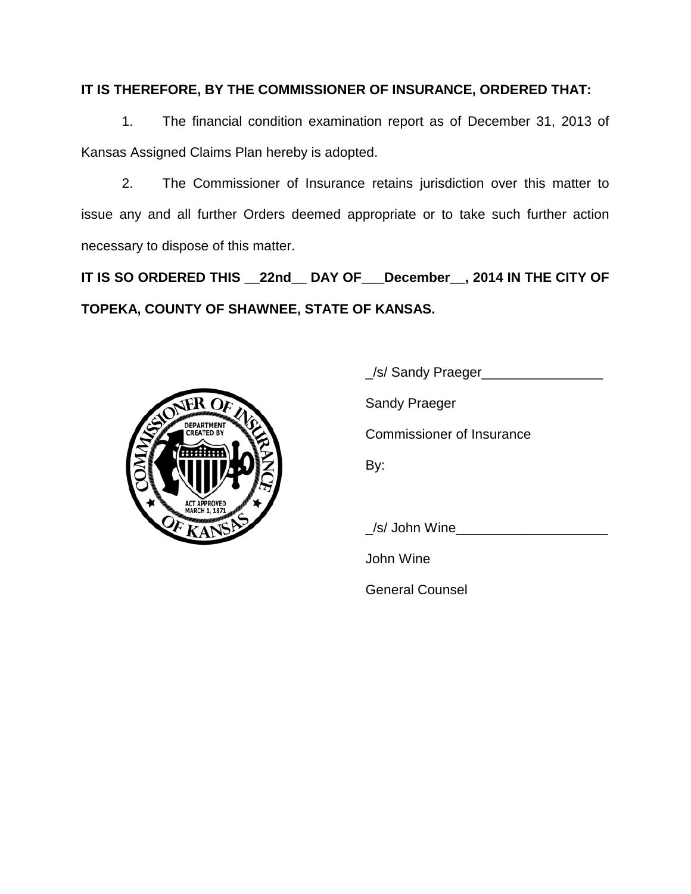### **IT IS THEREFORE, BY THE COMMISSIONER OF INSURANCE, ORDERED THAT:**

1. The financial condition examination report as of December 31, 2013 of Kansas Assigned Claims Plan hereby is adopted.

2. The Commissioner of Insurance retains jurisdiction over this matter to issue any and all further Orders deemed appropriate or to take such further action necessary to dispose of this matter.

**IT IS SO ORDERED THIS \_\_22nd\_\_ DAY OF\_\_\_December\_\_, 2014 IN THE CITY OF TOPEKA, COUNTY OF SHAWNEE, STATE OF KANSAS.**



\_/s/ Sandy Praeger\_\_\_\_\_\_\_\_\_\_\_\_\_\_\_\_ Sandy Praeger Commissioner of Insurance By:

/s/ John Wine

John Wine

General Counsel